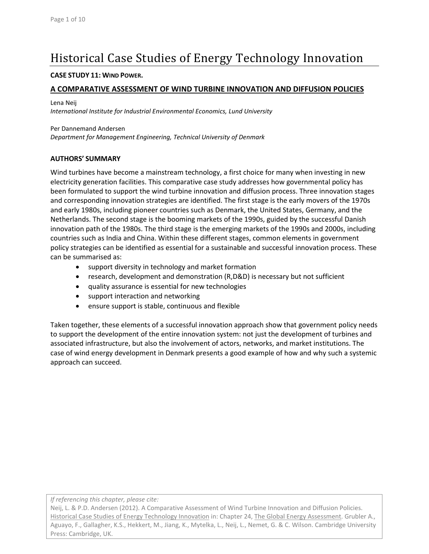# Historical Case Studies of Energy Technology Innovation

#### **CASE STUDY 11: WIND POWER.**

#### **A COMPARATIVE ASSESSMENT OF WIND TURBINE INNOVATION AND DIFFUSION POLICIES**

Lena Neij

*International Institute for Industrial Environmental Economics, Lund University*

Per Dannemand Andersen

*Department for Management Engineering, Technical University of Denmark*

#### **AUTHORS' SUMMARY**

Wind turbines have become a mainstream technology, a first choice for many when investing in new electricity generation facilities. This comparative case study addresses how governmental policy has been formulated to support the wind turbine innovation and diffusion process. Three innovation stages and corresponding innovation strategies are identified. The first stage is the early movers of the 1970s and early 1980s, including pioneer countries such as Denmark, the United States, Germany, and the Netherlands. The second stage is the booming markets of the 1990s, guided by the successful Danish innovation path of the 1980s. The third stage is the emerging markets of the 1990s and 2000s, including countries such as India and China. Within these different stages, common elements in government policy strategies can be identified as essential for a sustainable and successful innovation process. These can be summarised as:

- support diversity in technology and market formation
- research, development and demonstration (R,D&D) is necessary but not sufficient
- quality assurance is essential for new technologies
- support interaction and networking
- ensure support is stable, continuous and flexible

Taken together, these elements of a successful innovation approach show that government policy needs to support the development of the entire innovation system: not just the development of turbines and associated infrastructure, but also the involvement of actors, networks, and market institutions. The case of wind energy development in Denmark presents a good example of how and why such a systemic approach can succeed.

*If referencing this chapter, please cite:*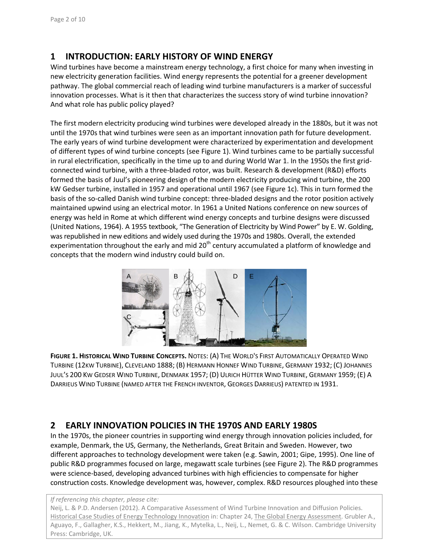# **1 INTRODUCTION: EARLY HISTORY OF WIND ENERGY**

Wind turbines have become a mainstream energy technology, a first choice for many when investing in new electricity generation facilities. Wind energy represents the potential for a greener development pathway. The global commercial reach of leading wind turbine manufacturers is a marker of successful innovation processes. What is it then that characterizes the success story of wind turbine innovation? And what role has public policy played?

The first modern electricity producing wind turbines were developed already in the 1880s, but it was not until the 1970s that wind turbines were seen as an important innovation path for future development. The early years of wind turbine development were characterized by experimentation and development of different types of wind turbine concepts (see Figure 1). Wind turbines came to be partially successful in rural electrification, specifically in the time up to and during World War 1. In the 1950s the first gridconnected wind turbine, with a three-bladed rotor, was built. Research & development (R&D) efforts formed the basis of Juul's pioneering design of the modern electricity producing wind turbine, the 200 kW Gedser turbine, installed in 1957 and operational until 1967 (see Figure 1c). This in turn formed the basis of the so-called Danish wind turbine concept: three-bladed designs and the rotor position actively maintained upwind using an electrical motor. In 1961 a United Nations conference on new sources of energy was held in Rome at which different wind energy concepts and turbine designs were discussed [\(United Nations, 1964\)](#page-9-0). A 1955 textbook, "The Generation of Electricity by Wind Power" by E. W. Golding, was republished in new editions and widely used during the 1970s and 1980s. Overall, the extended experimentation throughout the early and mid 20<sup>th</sup> century accumulated a platform of knowledge and concepts that the modern wind industry could build on.



**FIGURE 1. HISTORICAL WIND TURBINE CONCEPTS.** NOTES: (A) THE WORLD'S FIRST AUTOMATICALLY OPERATED WIND TURBINE (12KW TURBINE), CLEVELAND 1888; (B) HERMANN HONNEF WIND TURBINE, GERMANY 1932; (C) JOHANNES JUUL'S 200 KW GEDSER WIND TURBINE, DENMARK 1957; (D) ULRICH HÜTTER WIND TURBINE, GERMANY 1959; (E) A DARRIEUS WIND TURBINE (NAMED AFTER THE FRENCH INVENTOR, GEORGES DARRIEUS) [PATENTE](http://en.wikipedia.org/wiki/Patent)D IN 1931.

### **2 EARLY INNOVATION POLICIES IN THE 1970S AND EARLY 1980S**

In the 1970s, the pioneer countries in supporting wind energy through innovation policies included, for example, Denmark, the US, Germany, the Netherlands, Great Britain and Sweden. However, two different approaches to technology development were taken (e.g. [Sawin,](#page-9-1) 2001[; Gipe, 1995\)](#page-8-0). One line of public R&D programmes focused on large, megawatt scale turbines (see Figure 2). The R&D programmes were science-based, developing advanced turbines with high efficiencies to compensate for higher construction costs. Knowledge development was, however, complex. R&D resources ploughed into these

#### *If referencing this chapter, please cite:*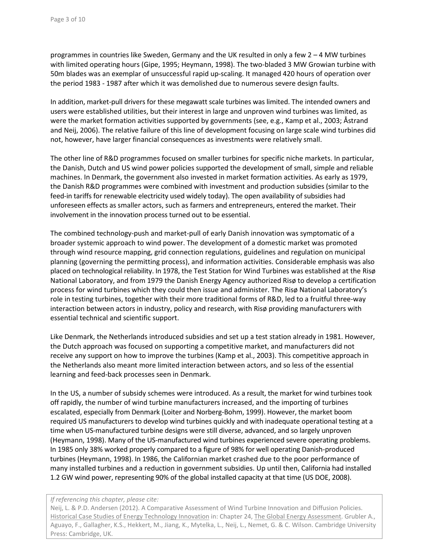programmes in countries like Sweden, Germany and the UK resulted in only a few 2 – 4 MW turbines with limited operating hours [\(Gipe, 1995;](#page-8-0) [Heymann, 1998\)](#page-8-1). The two-bladed 3 MW Growian turbine with 50m blades was an exemplar of unsuccessful rapid up-scaling. It managed 420 hours of operation over the period 1983 - 1987 after which it was demolished due to numerous severe design faults.

In addition, market-pull drivers for these megawatt scale turbines was limited. The intended owners and users were established utilities, but their interest in large and unproven wind turbines was limited, as were the market formation activities supported by governments (see, e.g., [Kamp et al., 2003;](#page-8-2) [Åstrand](#page-8-3)  [and Neij, 2006\)](#page-8-3). The relative failure of this line of development focusing on large scale wind turbines did not, however, have larger financial consequences as investments were relatively small.

The other line of R&D programmes focused on smaller turbines for specific niche markets. In particular, the Danish, Dutch and US wind power policies supported the development of small, simple and reliable machines. In Denmark, the government also invested in market formation activities. As early as 1979, the Danish R&D programmes were combined with investment and production subsidies (similar to the feed-in tariffs for renewable electricity used widely today). The open availability of subsidies had unforeseen effects as smaller actors, such as farmers and entrepreneurs, entered the market. Their involvement in the innovation process turned out to be essential.

The combined technology-push and market-pull of early Danish innovation was symptomatic of a broader systemic approach to wind power. The development of a domestic market was promoted through wind resource mapping, grid connection regulations, guidelines and regulation on municipal planning (governing the permitting process), and information activities. Considerable emphasis was also placed on technological reliability. In 1978, the Test Station for Wind Turbines was established at the Risø National Laboratory, and from 1979 the Danish Energy Agency authorized Risø to develop a certification process for wind turbines which they could then issue and administer. The Risø National Laboratory's role in testing turbines, together with their more traditional forms of R&D, led to a fruitful three-way interaction between actors in industry, policy and research, with Risø providing manufacturers with essential technical and scientific support.

Like Denmark, the Netherlands introduced subsidies and set up a test station already in 1981. However, the Dutch approach was focused on supporting a competitive market, and manufacturers did not receive any support on how to improve the turbines [\(Kamp et al., 2003\)](#page-8-2). This competitive approach in the Netherlands also meant more limited interaction between actors, and so less of the essential learning and feed-back processes seen in Denmark.

In the US, a number of subsidy schemes were introduced. As a result, the market for wind turbines took off rapidly, the number of wind turbine manufacturers increased, and the importing of turbines escalated, especially from Denmark [\(Loiter and Norberg-Bohm, 1999\)](#page-8-4). However, the market boom required US manufacturers to develop wind turbines quickly and with inadequate operational testing at a time when US-manufactured turbine designs were still diverse, advanced, and so largely unproven [\(Heymann, 1998\)](#page-8-1). Many of the US-manufactured wind turbines experienced severe operating problems. In 1985 only 38% worked properly compared to a figure of 98% for well operating Danish-produced turbines [\(Heymann, 1998\)](#page-8-1). In 1986, the Californian market crashed due to the poor performance of many installed turbines and a reduction in government subsidies. Up until then, California had installed 1.2 GW wind power, representing 90% of the global installed capacity at that time [\(US DOE, 2008\)](#page-9-2).

#### *If referencing this chapter, please cite:*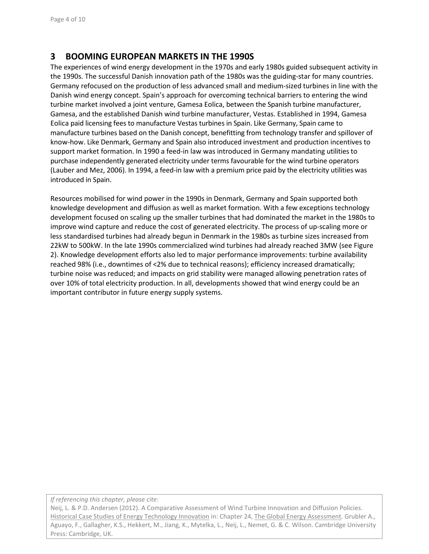## **3 BOOMING EUROPEAN MARKETS IN THE 1990S**

The experiences of wind energy development in the 1970s and early 1980s guided subsequent activity in the 1990s. The successful Danish innovation path of the 1980s was the guiding-star for many countries. Germany refocused on the production of less advanced small and medium-sized turbines in line with the Danish wind energy concept. Spain's approach for overcoming technical barriers to entering the wind turbine market involved a joint venture, Gamesa Eolica, between the Spanish turbine manufacturer, Gamesa, and the established Danish wind turbine manufacturer, Vestas. Established in 1994, Gamesa Eolica paid licensing fees to manufacture Vestas turbines in Spain. Like Germany, Spain came to manufacture turbines based on the Danish concept, benefitting from technology transfer and spillover of know-how. Like Denmark, Germany and Spain also introduced investment and production incentives to support market formation. In 1990 a feed-in law was introduced in Germany mandating utilities to purchase independently generated electricity under terms favourable for the wind turbine operators [\(Lauber and Mez, 2006\)](#page-8-5). In 1994, a feed-in law with a premium price paid by the electricity utilities was introduced in Spain.

Resources mobilised for wind power in the 1990s in Denmark, Germany and Spain supported both knowledge development and diffusion as well as market formation. With a few exceptions technology development focused on scaling up the smaller turbines that had dominated the market in the 1980s to improve wind capture and reduce the cost of generated electricity. The process of up-scaling more or less standardised turbines had already begun in Denmark in the 1980s as turbine sizes increased from 22kW to 500kW. In the late 1990s commercialized wind turbines had already reached 3MW (see Figure 2). Knowledge development efforts also led to major performance improvements: turbine availability reached 98% (i.e., downtimes of <2% due to technical reasons); efficiency increased dramatically; turbine noise was reduced; and impacts on grid stability were managed allowing penetration rates of over 10% of total electricity production. In all, developments showed that wind energy could be an important contributor in future energy supply systems.

*If referencing this chapter, please cite:*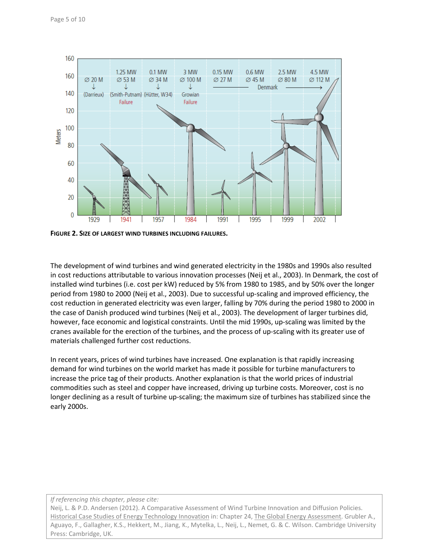

**FIGURE 2. SIZE OF LARGEST WIND TURBINES INCLUDING FAILURES.**

The development of wind turbines and wind generated electricity in the 1980s and 1990s also resulted in cost reductions attributable to various innovation processes [\(Neij et al., 2003\)](#page-9-3). In Denmark, the cost of installed wind turbines (i.e. cost per kW) reduced by 5% from 1980 to 1985, and by 50% over the longer period from 1980 to 2000 [\(Neij et al., 2003\)](#page-9-3). Due to successful up-scaling and improved efficiency, the cost reduction in generated electricity was even larger, falling by 70% during the period 1980 to 2000 in the case of Danish produced wind turbines [\(Neij et al., 2003\)](#page-9-3). The development of larger turbines did, however, face economic and logistical constraints. Until the mid 1990s, up-scaling was limited by the cranes available for the erection of the turbines, and the process of up-scaling with its greater use of materials challenged further cost reductions.

In recent years, prices of wind turbines have increased. One explanation is that rapidly increasing demand for wind turbines on the world market has made it possible for turbine manufacturers to increase the price tag of their products. Another explanation is that the world prices of industrial commodities such as steel and copper have increased, driving up turbine costs. Moreover, cost is no longer declining as a result of turbine up-scaling; the maximum size of turbines has stabilized since the early 2000s.

#### *If referencing this chapter, please cite:*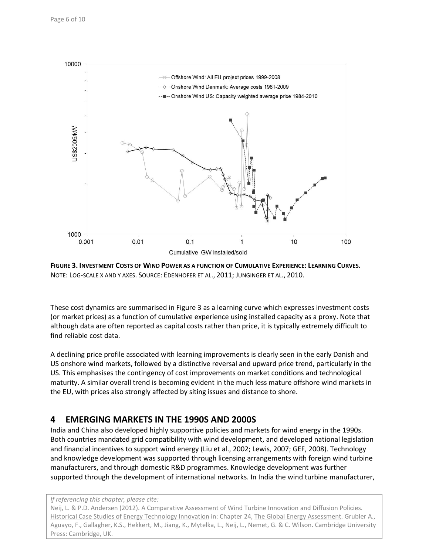

**FIGURE 3. INVESTMENT COSTS OF WIND POWER AS A FUNCTION OF CUMULATIVE EXPERIENCE: LEARNING CURVES.** NOTE: LOG-SCALE X AND Y AXES. SOURCE: [EDENHOFER ET AL.,](#page-8-6) 2011; [JUNGINGER ET AL.,](#page-8-7) 2010.

These cost dynamics are summarised in Figure 3 as a learning curve which expresses investment costs (or market prices) as a function of cumulative experience using installed capacity as a proxy. Note that although data are often reported as capital costs rather than price, it is typically extremely difficult to find reliable cost data.

A declining price profile associated with learning improvements is clearly seen in the early Danish and US onshore wind markets, followed by a distinctive reversal and upward price trend, particularly in the US. This emphasises the contingency of cost improvements on market conditions and technological maturity. A similar overall trend is becoming evident in the much less mature offshore wind markets in the EU, with prices also strongly affected by siting issues and distance to shore.

### **4 EMERGING MARKETS IN THE 1990S AND 2000S**

India and China also developed highly supportive policies and markets for wind energy in the 1990s. Both countries mandated grid compatibility with wind development, and developed national legislation and financial incentives to support wind energy [\(Liu et al., 2002;](#page-8-8) [Lewis, 2007;](#page-8-9) [GEF, 2008\)](#page-8-10). Technology and knowledge development was supported through licensing arrangements with foreign wind turbine manufacturers, and through domestic R&D programmes. Knowledge development was further supported through the development of international networks. In India the wind turbine manufacturer,

*If referencing this chapter, please cite:*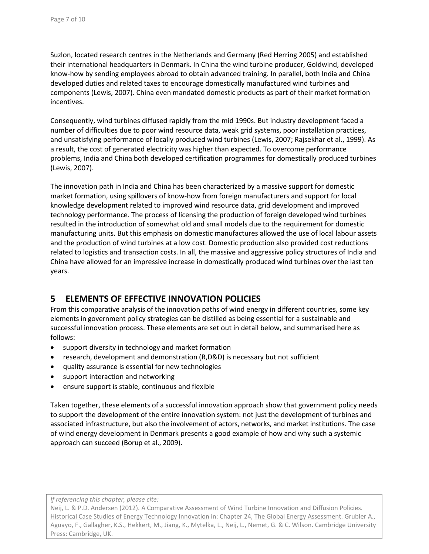Suzlon, located research centres in the Netherlands and Germany (Red Herring 2005) and established their international headquarters in Denmark. In China the wind turbine producer, Goldwind, developed know-how by sending employees abroad to obtain advanced training. In parallel, both India and China developed duties and related taxes to encourage domestically manufactured wind turbines and components [\(Lewis, 2007\)](#page-8-9). China even mandated domestic products as part of their market formation incentives.

Consequently, wind turbines diffused rapidly from the mid 1990s. But industry development faced a number of difficulties due to poor wind resource data, weak grid systems, poor installation practices, and unsatisfying performance of locally produced wind turbines [\(Lewis, 2007;](#page-8-9) [Rajsekhar et al., 1999\)](#page-9-4). As a result, the cost of generated electricity was higher than expected. To overcome performance problems, India and China both developed certification programmes for domestically produced turbines [\(Lewis, 2007\)](#page-8-9).

The innovation path in India and China has been characterized by a massive support for domestic market formation, using spillovers of know-how from foreign manufacturers and support for local knowledge development related to improved wind resource data, grid development and improved technology performance. The process of licensing the production of foreign developed wind turbines resulted in the introduction of somewhat old and small models due to the requirement for domestic manufacturing units. But this emphasis on domestic manufactures allowed the use of local labour assets and the production of wind turbines at a low cost. Domestic production also provided cost reductions related to logistics and transaction costs. In all, the massive and aggressive policy structures of India and China have allowed for an impressive increase in domestically produced wind turbines over the last ten years.

### **5 ELEMENTS OF EFFECTIVE INNOVATION POLICIES**

From this comparative analysis of the innovation paths of wind energy in different countries, some key elements in government policy strategies can be distilled as being essential for a sustainable and successful innovation process. These elements are set out in detail below, and summarised here as follows:

- support diversity in technology and market formation
- research, development and demonstration (R,D&D) is necessary but not sufficient
- quality assurance is essential for new technologies
- support interaction and networking
- ensure support is stable, continuous and flexible

Taken together, these elements of a successful innovation approach show that government policy needs to support the development of the entire innovation system: not just the development of turbines and associated infrastructure, but also the involvement of actors, networks, and market institutions. The case of wind energy development in Denmark presents a good example of how and why such a systemic approach can succeed [\(Borup et al., 2009\)](#page-8-11).

*If referencing this chapter, please cite:*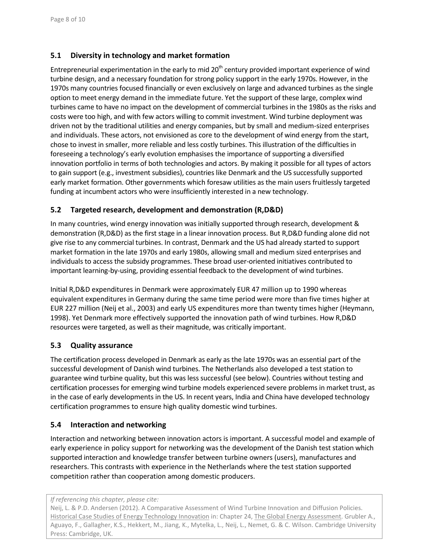#### **5.1 Diversity in technology and market formation**

Entrepreneurial experimentation in the early to mid  $20<sup>th</sup>$  century provided important experience of wind turbine design, and a necessary foundation for strong policy support in the early 1970s. However, in the 1970s many countries focused financially or even exclusively on large and advanced turbines as the single option to meet energy demand in the immediate future. Yet the support of these large, complex wind turbines came to have no impact on the development of commercial turbines in the 1980s as the risks and costs were too high, and with few actors willing to commit investment. Wind turbine deployment was driven not by the traditional utilities and energy companies, but by small and medium-sized enterprises and individuals. These actors, not envisioned as core to the development of wind energy from the start, chose to invest in smaller, more reliable and less costly turbines. This illustration of the difficulties in foreseeing a technology's early evolution emphasises the importance of supporting a diversified innovation portfolio in terms of both technologies and actors. By making it possible for all types of actors to gain support (e.g., investment subsidies), countries like Denmark and the US successfully supported early market formation. Other governments which foresaw utilities as the main users fruitlessly targeted funding at incumbent actors who were insufficiently interested in a new technology.

#### **5.2 Targeted research, development and demonstration (R,D&D)**

In many countries, wind energy innovation was initially supported through research, development & demonstration (R,D&D) as the first stage in a linear innovation process. But R,D&D funding alone did not give rise to any commercial turbines. In contrast, Denmark and the US had already started to support market formation in the late 1970s and early 1980s, allowing small and medium sized enterprises and individuals to access the subsidy programmes. These broad user-oriented initiatives contributed to important learning-by-using, providing essential feedback to the development of wind turbines.

Initial R,D&D expenditures in Denmark were approximately EUR 47 million up to 1990 whereas equivalent expenditures in Germany during the same time period were more than five times higher at EUR 227 million [\(Neij et al., 2003\)](#page-9-3) and early US expenditures more than twenty times higher [\(Heymann,](#page-8-1)  1998). Yet Denmark more effectively supported the innovation path of wind turbines. How R,D&D resources were targeted, as well as their magnitude, was critically important.

#### **5.3 Quality assurance**

The certification process developed in Denmark as early as the late 1970s was an essential part of the successful development of Danish wind turbines. The Netherlands also developed a test station to guarantee wind turbine quality, but this was less successful (see below). Countries without testing and certification processes for emerging wind turbine models experienced severe problems in market trust, as in the case of early developments in the US. In recent years, India and China have developed technology certification programmes to ensure high quality domestic wind turbines.

#### **5.4 Interaction and networking**

Interaction and networking between innovation actors is important. A successful model and example of early experience in policy support for networking was the development of the Danish test station which supported interaction and knowledge transfer between turbine owners (users), manufactures and researchers. This contrasts with experience in the Netherlands where the test station supported competition rather than cooperation among domestic producers.

*If referencing this chapter, please cite:*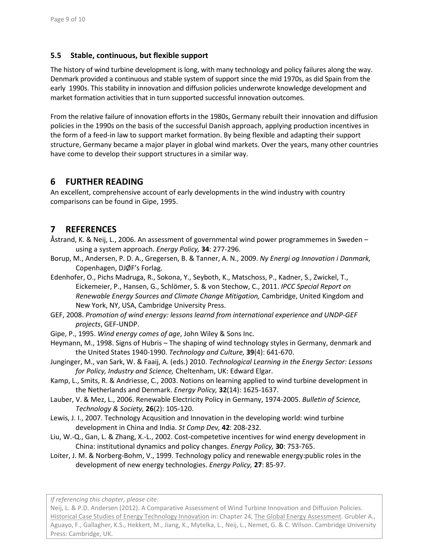#### **5.5 Stable, continuous, but flexible support**

The history of wind turbine development is long, with many technology and policy failures along the way. Denmark provided a continuous and stable system of support since the mid 1970s, as did Spain from the early 1990s. This stability in innovation and diffusion policies underwrote knowledge development and market formation activities that in turn supported successful innovation outcomes.

From the relative failure of innovation efforts in the 1980s, Germany rebuilt their innovation and diffusion policies in the 1990s on the basis of the successful Danish approach, applying production incentives in the form of a feed-in law to support market formation. By being flexible and adapting their support structure, Germany became a major player in global wind markets. Over the years, many other countries have come to develop their support structures in a similar way.

### **6 FURTHER READING**

An excellent, comprehensive account of early developments in the wind industry with country comparisons can be found in [Gipe, 1995.](#page-8-0)

## **7 REFERENCES**

- <span id="page-8-3"></span>Åstrand, K. & Neij, L., 2006. An assessment of governmental wind power programmemes in Sweden – using a system approach. *Energy Policy,* **34**: 277-296.
- <span id="page-8-11"></span>Borup, M., Andersen, P. D. A., Gregersen, B. & Tanner, A. N., 2009. *Ny Energi og Innovation i Danmark,*  Copenhagen, DJØF's Forlag.
- <span id="page-8-6"></span>Edenhofer, O., Pichs Madruga, R., Sokona, Y., Seyboth, K., Matschoss, P., Kadner, S., Zwickel, T., Eickemeier, P., Hansen, G., Schlömer, S. & von Stechow, C., 2011. *IPCC Special Report on Renewable Energy Sources and Climate Change Mitigation,* Cambridge, United Kingdom and New York, NY, USA, Cambridge University Press.
- <span id="page-8-10"></span>GEF, 2008. *Promotion of wind energy: lessons learnd from international experience and UNDP-GEF projects*, GEF-UNDP.
- <span id="page-8-0"></span>Gipe, P., 1995. *Wind energy comes of age*, John Wiley & Sons Inc.
- <span id="page-8-1"></span>Heymann, M., 1998. Signs of Hubris – The shaping of wind technology styles in Germany, denmark and the United States 1940-1990. *Technology and Culture,* **39**(4): 641-670.
- <span id="page-8-7"></span>Junginger, M., van Sark, W. & Faaij, A. (eds.) 2010. *Technological Learning in the Energy Sector: Lessons for Policy, Industry and Science,* Cheltenham, UK: Edward Elgar.
- <span id="page-8-2"></span>Kamp, L., Smits, R. & Andriesse, C., 2003. Notions on learning applied to wind turbine development in the Netherlands and Denmark. *Energy Policy,* **32**(14): 1625-1637.
- <span id="page-8-5"></span>Lauber, V. & Mez, L., 2006. Renewable Electricity Policy in Germany, 1974-2005. *Bulletin of Science, Technology & Society,* **26**(2): 105-120.
- <span id="page-8-9"></span>Lewis, J. I., 2007. Technology Acqusition and Innovation in the developing world: wind turbine development in China and India. *St Comp Dev,* **42**: 208-232.
- <span id="page-8-8"></span>Liu, W.-Q., Gan, L. & Zhang, X.-L., 2002. Cost-competetive incentives for wind energy development in China: institutional dynamics and policy changes. *Energy Policy,* **30**: 753-765.
- <span id="page-8-4"></span>Loiter, J. M. & Norberg-Bohm, V., 1999. Technology policy and renewable energy:public roles in the development of new energy technologies. *Energy Policy,* **27**: 85-97.

*If referencing this chapter, please cite:*